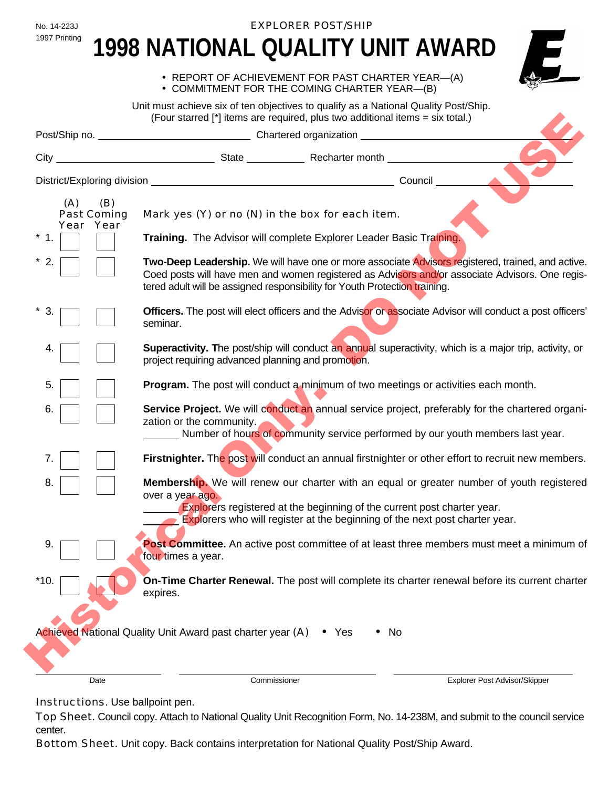No. 14-223J **EXPLORER POST/SHIP** 

# 1997 Printing 1998 NATIONAL QUALITY UNIT AWARD



• REPORT OF ACHIEVEMENT FOR PAST CHARTER YEAR—(A)

• COMMITMENT FOR THE COMING CHARTER YEAR—(B)

Unit must achieve six of ten objectives to qualify as a National Quality Post/Ship. (Four starred [\*] items are required, plus two additional items = six total.)

|                                                    | (Four starred [*] items are required, plus two additional items = six total.)                                                                                                                                                                                                         |       |                                                                                                                                                                                                      |
|----------------------------------------------------|---------------------------------------------------------------------------------------------------------------------------------------------------------------------------------------------------------------------------------------------------------------------------------------|-------|------------------------------------------------------------------------------------------------------------------------------------------------------------------------------------------------------|
|                                                    |                                                                                                                                                                                                                                                                                       |       |                                                                                                                                                                                                      |
| City                                               | State Recharter month Manuscript Communication State State Recharter month                                                                                                                                                                                                            |       |                                                                                                                                                                                                      |
|                                                    |                                                                                                                                                                                                                                                                                       |       |                                                                                                                                                                                                      |
| (A)<br>(B)<br>Past Coming<br>Year Year<br>1.<br>2. | Mark yes (Y) or no (N) in the box for each item.<br>Training. The Advisor will complete Explorer Leader Basic Training.                                                                                                                                                               |       | Two-Deep Leadership. We will have one or more associate Advisors registered, trained, and active.<br>Coed posts will have men and women registered as Advisors and/or associate Advisors. One regis- |
| 3.                                                 | tered adult will be assigned responsibility for Youth Protection training.<br>seminar.                                                                                                                                                                                                |       | <b>Officers.</b> The post will elect officers and the Advisor or associate Advisor will conduct a post officers'                                                                                     |
| 4.                                                 | <b>Superactivity.</b> The post/ship will conduct an annual superactivity, which is a major trip, activity, or<br>project requiring advanced planning and promotion.                                                                                                                   |       |                                                                                                                                                                                                      |
| 5.                                                 | Program. The post will conduct a minimum of two meetings or activities each month.                                                                                                                                                                                                    |       |                                                                                                                                                                                                      |
| 6.                                                 | zation or the community.                                                                                                                                                                                                                                                              |       | Service Project. We will conduct an annual service project, preferably for the chartered organi-<br>Number of hours of community service performed by our youth members last year.                   |
| 7.                                                 | Firstnighter. The post will conduct an annual firstnighter or other effort to recruit new members.                                                                                                                                                                                    |       |                                                                                                                                                                                                      |
| 8.                                                 | Membership. We will renew our charter with an equal or greater number of youth registered<br>over a year ago.<br><b>Explorers registered at the beginning of the current post charter year.</b><br><b>Explorers who will register at the beginning of the next post charter year.</b> |       |                                                                                                                                                                                                      |
| 9.                                                 | four times a year.                                                                                                                                                                                                                                                                    |       | Post Committee. An active post committee of at least three members must meet a minimum of                                                                                                            |
| *10.                                               | expires.                                                                                                                                                                                                                                                                              |       | <b>On-Time Charter Renewal.</b> The post will complete its charter renewal before its current charter                                                                                                |
|                                                    | Achieved National Quality Unit Award past charter year (A)                                                                                                                                                                                                                            | • Yes | $\bullet$ No                                                                                                                                                                                         |
| Date                                               | Commissioner                                                                                                                                                                                                                                                                          |       | Explorer Post Advisor/Skipper                                                                                                                                                                        |

Instructions. Use ballpoint pen.

Top Sheet. Council copy. Attach to National Quality Unit Recognition Form, No. 14-238M, and submit to the council service center.

Bottom Sheet. Unit copy. Back contains interpretation for National Quality Post/Ship Award.